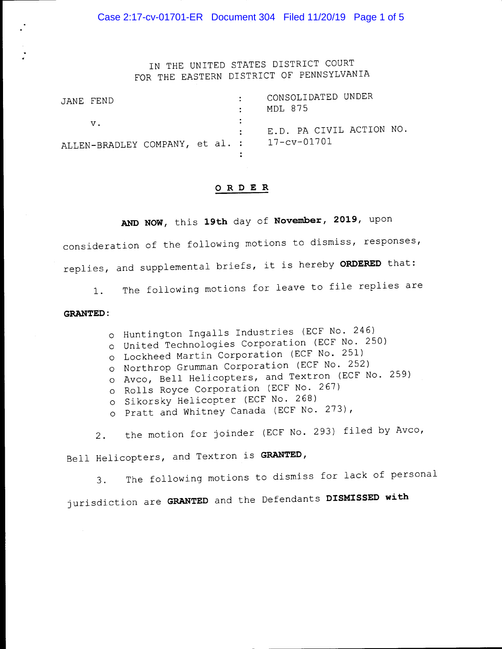Case 2:17-cv-01701-ER Document 304 Filed 11/20/19 Page 1 of 5

IN THE UNITED STATES DISTRICT COURT FOR THE EASTERN DISTRICT OF PENNSYLVANIA

| JANE FEND                                   |  | CONSOLIDATED UNDER<br>MDL 875 |
|---------------------------------------------|--|-------------------------------|
| $V_{\bullet}$                               |  | : E.D. PA CIVIL ACTION NO.    |
| ALLEN-BRADLEY COMPANY, et al. : 17-cv-01701 |  |                               |

## **ORDER**

**AND NOW,** this **19th** day of **November, 2019,** upon

consideration of the following motions to dismiss, responses, replies, and supplemental briefs, it is hereby **ORDERED** that:

1. The following motions for leave to file replies are

## **GRANTED:**

o Huntington Ingalls Industries (ECF No. 246)

- o United Technologies Corporation (ECF No. 250)
- o Lockheed Martin Corporation (ECF No. 251)
- o Northrop Grumman Corporation (ECF No. 252)
- o Avco, Bell Helicopters, and Textron (ECF No. 259)
- o Rolls Royce Corporation (ECF No. 267)
- o Sikorsky Helicopter (ECF No. 268)
- o Pratt and Whitney Canada (ECF No. 273),

2. the motion for joinder (ECF No. 293) filed by Avco,

Bell Helicopters, and Textron is **GRANTED,** 

3. The following motions to dismiss for lack of personal jurisdiction are **GRANTED** and the Defendants **DISMISSED with**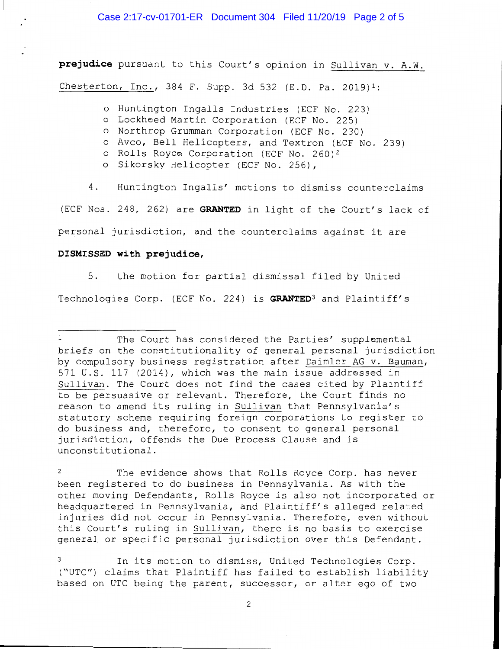**prejudice** pursuant to this Court's opinion in Sullivan v. A.W. Chesterton, Inc., 384 F. Supp. 3d 532 (E.D. Pa. 2019)1:

o Huntington Ingalls Industries (ECF No. 223)

- o Lockheed Martin Corporation (ECF No. 225)
- o Northrop Grumman Corporation (ECF No. 230)
- o Avco, Bell Helicopters, and Textron (ECF No. 239)
- o Rolls Royce Corporation (ECF No. 260)2
- o Sikorsky Helicopter (ECF No. 256),

4. Huntington Ingalls' motions to dismiss counterclaims (ECF Nos. 248, 262) are **GRANTED** in light of the Court's lack of personal jurisdiction, and the counterclaims against it are

## **DISMISSED with prejudice,**

5. the motion for partial dismissal filed by United Technologies Corp. (ECF No. 224) is **GRANTED3** and Plaintiff's

In its motion to dismiss, United Technologies Corp. ("UTC") claims that Plaintiff has failed to establish liability based on UTC being the parent, successor, or alter ego of two

2

The Court has considered the Parties' supplemental briefs on the constitutionality of general personal jurisdiction by compulsory business registration after Daimler AG v. Bauman, 571 U.S. 117 (2014), which was the main issue addressed in Sullivan. The Court does not find the cases cited by Plaintiff to be persuasive or relevant. Therefore, the Court finds no reason to amend its ruling in Sullivan that Pennsylvania's statutory scheme requiring foreign corporations to register to do business and, therefore, to consent to general personal jurisdiction, offends the Due Process Clause and is unconstitutional.

The evidence shows that Rolls Royce Corp. has never been registered to do business in Pennsylvania. As with the other moving Defendants, Rolls Royce is also not incorporated or headquartered in Pennsylvania, and Plaintiff's alleged related injuries did not occur in Pennsylvania. Therefore, even without this Court's ruling in Sullivan, there is no basis to exercise general or specific personal jurisdiction over this Defendant.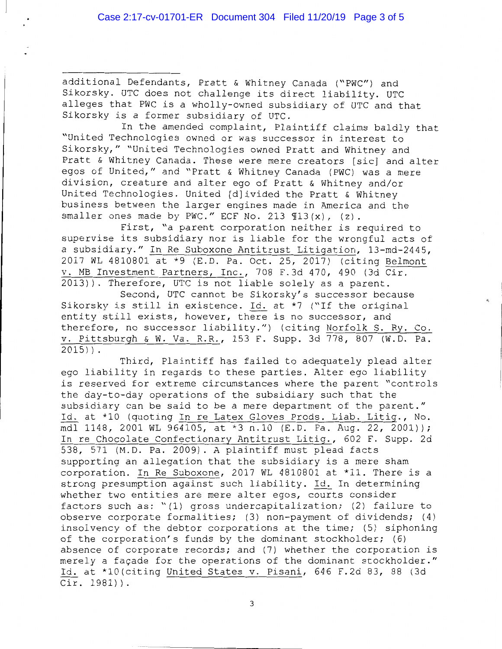additional Defendants, Pratt & Whitney Canada ("PWC") and Sikorsky. UTC does not challenge its direct liability. UTC alleges that PWC is a wholly-owned subsidiary of UTC and that Sikorsky is a former subsidiary of UTC.

In the amended complaint, Plaintiff claims baldly that "United Technologies owned or was successor in interest to Sikorsky," "United Technologies owned Pratt and Whitney and Pratt & Whitney Canada. These were mere creators [sic] and alter egos of United," and "Pratt & Whitney Canada (PWC) was a mere division, creature and alter ego of Pratt & Whitney and/or United Technologies. United [d]ivided the Pratt & Whitney business between the larger engines made in America and the smaller ones made by PWC." ECF No. 213  $\Pi$ 13(x), (z).

First, "a parent corporation neither is required to supervise its subsidiary nor is liable for the wrongful acts of a subsidiary." In Re Suboxone Antitrust Litigation, 13-md-2445, 2017 WL 4810801 at \*9 (E.D. Pa. Oct. 25, 2017) (citing Belmont v. MB Investment Partners, Inc., 708 F.3d 470, 490 (3d Cir. 2013)). Therefore, UTC is not liable solely as a parent.

Second, UTC cannot be Sikorsky's successor because Sikorsky is still in existence. Id. at \*7 ("If the original entity still exists, however, there is no successor, and therefore, no successor liability.") (citing Norfolk S. Ry. Co. v. Pittsburgh & W. Va. R.R., 153 F. Supp. 3d 778, 807 (W.D. Pa. 2015)).

Third, Plaintiff has failed to adequately plead alter ego liability in regards to these parties. Alter ego liability is reserved for extreme circumstances where the parent "controls the day-to-day operations of the subsidiary such that the subsidiary can be said to be a mere department of the parent." Id. at \*10 (quoting In re Latex Gloves Prods. Liab. Litig., No. mdl 1148, 2001 WL 964105, at \*3 n.10 (E.D. Pa. Aug. 22, 2001)); In re Chocolate Confectionary Antitrust Litig., 602 F. Supp. 2d 538, 571 (M.D. Pa. 2009). A plaintiff must plead facts supporting an allegation that the subsidiary is a mere sham corporation. In Re Suboxone, 2017 WL 4810801 at \*11. There is a strong presumption against such liability. Id. In determining whether two entities are mere alter egos, courts consider factors such as: "(l) gross undercapitalization; (2) failure to observe corporate formalities; (3) non-payment of dividends; (4) insolvency of the debtor corporations at the time; (5) siphoning of the corporation's funds by the dominant stockholder; (6) absence of corporate records; and (7) whether the corporation is merely a façade for the operations of the dominant stockholder." Id. at \*lO(citing United States v. Pisani, 646 F.2d 83, 88 (3d Cir. 1981)).

3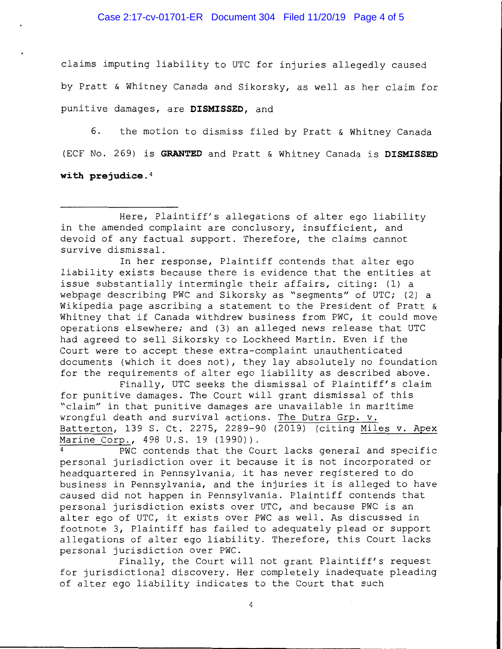claims imputing liability to UTC for injuries allegedly caused by Pratt & Whitney Canada and Sikorsky, as well as her claim for punitive damages, are **DISMISSED,** and

6. the motion to dismiss filed by Pratt & Whitney Canada (ECF No. 269) is **GRANTED** and Pratt & Whitney Canada is **DISMISSED with prejudice.4** 

In her response, Plaintiff contends that alter ego liability exists because there is evidence that the entities at issue substantially intermingle their affairs, citing: (1) a webpage describing PWC and Sikorsky as "segments" of UTC; (2) a Wikipedia page ascribing a statement to the President of Pratt & Whitney that if Canada withdrew business from PWC, it could move operations elsewhere; and (3) an alleged news release that UTC had agreed to sell Sikorsky to Lockheed Martin. Even if the Court were to accept these extra-complaint unauthenticated documents (which it does not), they lay absolutely no foundation for the requirements of alter ego liability as described above.

Finally, UTC seeks the dismissal of Plaintiff's claim for punitive damages. The Court will grant dismissal of this "claim" in that punitive damages are unavailable in maritime wrongful death and survival actions. The Dutra Grp. v. Batterton, 139 S. Ct. 2275, 2289-90 (2019) (citing Miles v. Apex Marine Corp., 498 U.S. 19 (1990)).

PWC contends that the Court lacks general and specific personal jurisdiction over it because it is not incorporated or headquartered in Pennsylvania, it has never registered to do business in Pennsylvania, and the injuries it is alleged to have caused did not happen in Pennsylvania. Plaintiff contends that personal jurisdiction exists over UTC, and because PWC is an alter ego of UTC, it exists over PWC as well. As discussed in footnote 3, Plaintiff has failed to adequately plead or support allegations of alter ego liability. Therefore, this Court lacks personal jurisdiction over PWC.

Finally, the Court will not grant Plaintiff's request for jurisdictional discovery. Her completely inadequate pleading of alter ego liability indicates to the Court that such

Here, Plaintiff's allegations of alter ego liability in the amended complaint are conclusory, insufficient, and devoid of any factual support. Therefore, the claims cannot survive dismissal.